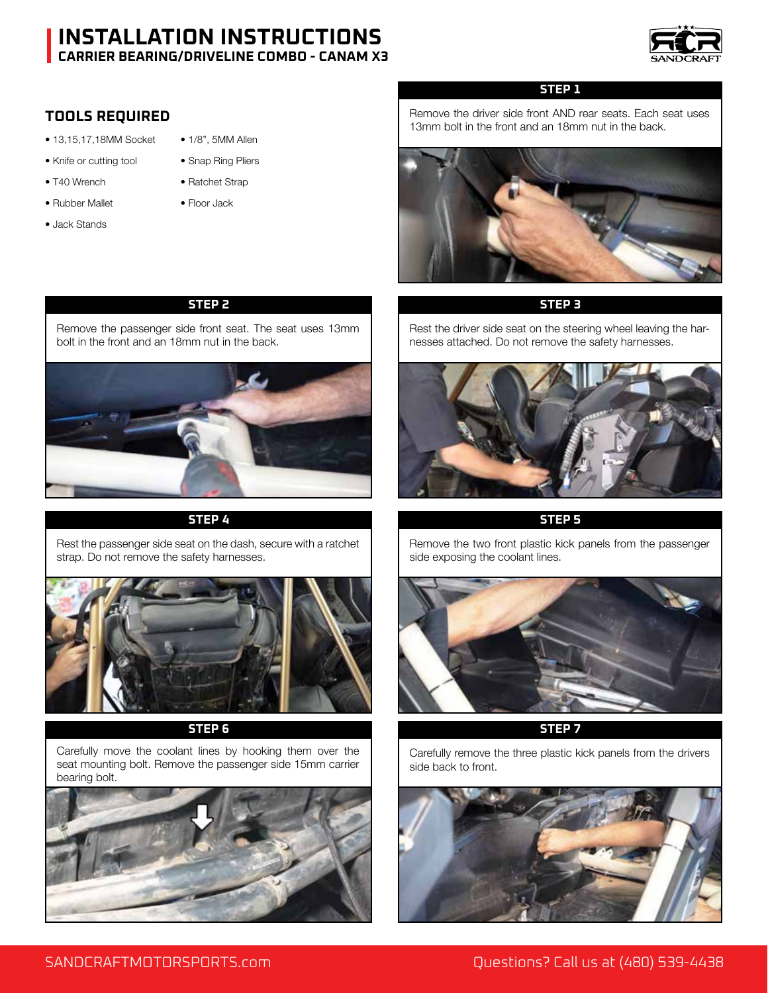

# **TOOLS REQUIRED**

- 13,15,17,18MM Socket 1/8", 5MM Allen
- Knife or cutting tool Snap Ring Pliers
- T40 Wrench Ratchet Strap
- Rubber Mallet Floor Jack
- Jack Stands
- 
- 
- 

# **STEP 2 STEP 3**

Remove the passenger side front seat. The seat uses 13mm bolt in the front and an 18mm nut in the back.



# **STEP 4 STEP 5**

Rest the passenger side seat on the dash, secure with a ratchet strap. Do not remove the safety harnesses.



# **STEP 6 STEP 7**

Carefully move the coolant lines by hooking them over the seat mounting bolt. Remove the passenger side 15mm carrier bearing bolt.



# **STEP 1**

Remove the driver side front AND rear seats. Each seat uses 13mm bolt in the front and an 18mm nut in the back.



Rest the driver side seat on the steering wheel leaving the harnesses attached. Do not remove the safety harnesses.



Remove the two front plastic kick panels from the passenger side exposing the coolant lines.



Carefully remove the three plastic kick panels from the drivers side back to front.



# SANDCRAFTMOTORSPORTS.com Questions? Call us at (480) 539-4438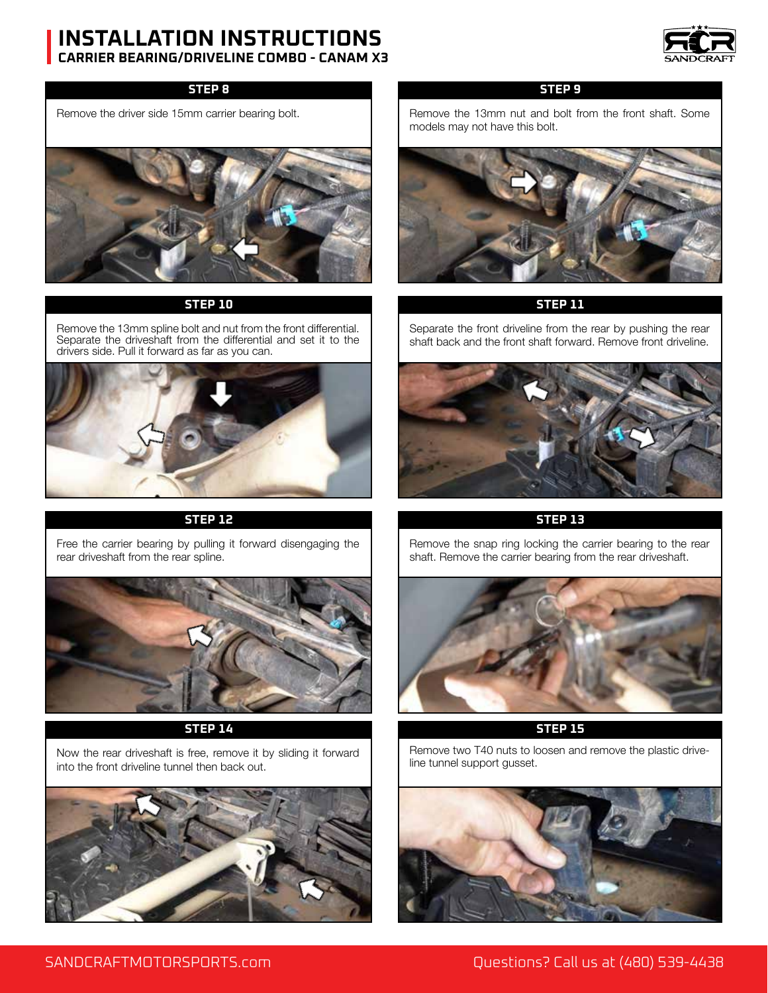

## **STEP 8**

Remove the driver side 15mm carrier bearing bolt.



## **STEP 10**

Remove the 13mm spline bolt and nut from the front differential. Separate the driveshaft from the differential and set it to the drivers side. Pull it forward as far as you can.



# **STEP 12 STEP 13**

Free the carrier bearing by pulling it forward disengaging the rear driveshaft from the rear spline.



### **STEP 14**

Now the rear driveshaft is free, remove it by sliding it forward into the front driveline tunnel then back out.



# **STEP 9**

Remove the 13mm nut and bolt from the front shaft. Some models may not have this bolt.



# **STEP 11**

Separate the front driveline from the rear by pushing the rear shaft back and the front shaft forward. Remove front driveline.



Remove the snap ring locking the carrier bearing to the rear shaft. Remove the carrier bearing from the rear driveshaft.



**STEP 15**

Remove two T40 nuts to loosen and remove the plastic driveline tunnel support gusset.

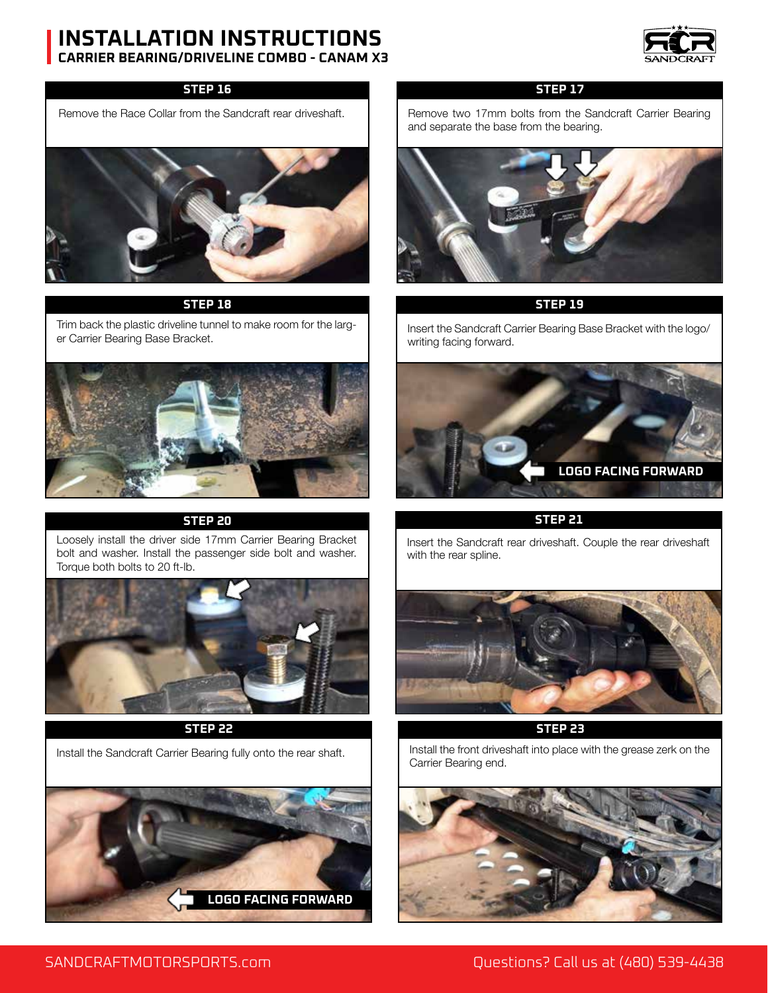

# **STEP 16**

Remove the Race Collar from the Sandcraft rear driveshaft.



# **STEP 18 STEP 19**

Trim back the plastic driveline tunnel to make room for the larger Carrier Bearing Base Bracket.



# **STEP 20 STEP 21**

Loosely install the driver side 17mm Carrier Bearing Bracket bolt and washer. Install the passenger side bolt and washer. Torque both bolts to 20 ft-lb.



### **STEP 22 STEP 23**



# **STEP 17**

Remove two 17mm bolts from the Sandcraft Carrier Bearing and separate the base from the bearing.



Insert the Sandcraft Carrier Bearing Base Bracket with the logo/ writing facing forward.



Insert the Sandcraft rear driveshaft. Couple the rear driveshaft with the rear spline.



Install the Sandcraft Carrier Bearing fully onto the rear shaft. Install the front driveshaft into place with the grease zerk on the Carrier Bearing end.